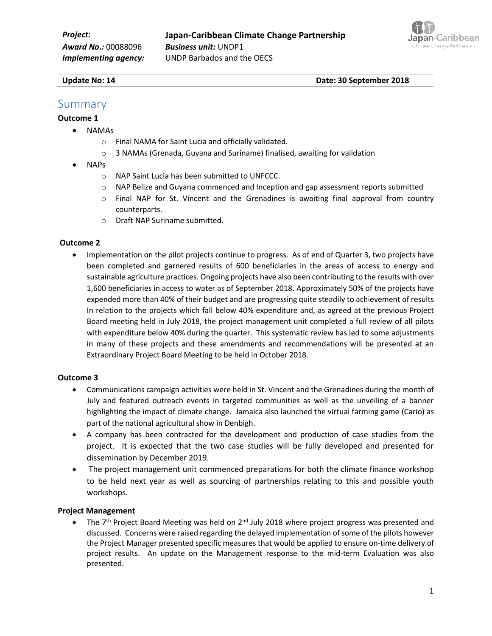

**Update No: 14** Date: 30 September 2018

# Summary

#### **Outcome 1**

- NAMAs
	- o Final NAMA for Saint Lucia and officially validated.
	- $\circ$  3 NAMAs (Grenada, Guyana and Suriname) finalised, awaiting for validation
- NAPs
	- o NAP Saint Lucia has been submitted to UNFCCC.
	- o NAP Belize and Guyana commenced and Inception and gap assessment reports submitted
	- o Final NAP for St. Vincent and the Grenadines is awaiting final approval from country counterparts.
	- o Draft NAP Suriname submitted.

#### **Outcome 2**

• Implementation on the pilot projects continue to progress. As of end of Quarter 3, two projects have been completed and garnered results of 600 beneficiaries in the areas of access to energy and sustainable agriculture practices. Ongoing projects have also been contributing to the results with over 1,600 beneficiaries in access to water as of September 2018. Approximately 50% of the projects have expended more than 40% of their budget and are progressing quite steadily to achievement of results In relation to the projects which fall below 40% expenditure and, as agreed at the previous Project Board meeting held in July 2018, the project management unit completed a full review of all pilots with expenditure below 40% during the quarter. This systematic review has led to some adjustments in many of these projects and these amendments and recommendations will be presented at an Extraordinary Project Board Meeting to be held in October 2018.

#### **Outcome 3**

- Communications campaign activities were held in St. Vincent and the Grenadines during the month of July and featured outreach events in targeted communities as well as the unveiling of a banner highlighting the impact of climate change. Jamaica also launched the virtual farming game (Cario) as part of the national agricultural show in Denbigh.
- A company has been contracted for the development and production of case studies from the project. It is expected that the two case studies will be fully developed and presented for dissemination by December 2019.
- The project management unit commenced preparations for both the climate finance workshop to be held next year as well as sourcing of partnerships relating to this and possible youth workshops.

#### **Project Management**

• The 7<sup>th</sup> Project Board Meeting was held on 2<sup>nd</sup> July 2018 where project progress was presented and discussed. Concerns were raised regarding the delayed implementation of some of the pilots however the Project Manager presented specific measures that would be applied to ensure on-time delivery of project results. An update on the Management response to the mid-term Evaluation was also presented.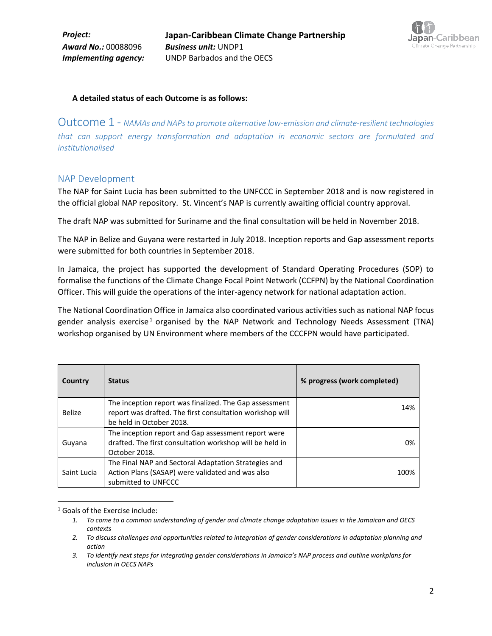

#### **A detailed status of each Outcome is as follows:**

Outcome 1 - *NAMAs and NAPs to promote alternative low-emission and climate-resilient technologies that can support energy transformation and adaptation in economic sectors are formulated and institutionalised*

#### NAP Development

The NAP for Saint Lucia has been submitted to the UNFCCC in September 2018 and is now registered in the official global NAP repository. St. Vincent's NAP is currently awaiting official country approval.

The draft NAP was submitted for Suriname and the final consultation will be held in November 2018.

The NAP in Belize and Guyana were restarted in July 2018. Inception reports and Gap assessment reports were submitted for both countries in September 2018.

In Jamaica, the project has supported the development of Standard Operating Procedures (SOP) to formalise the functions of the Climate Change Focal Point Network (CCFPN) by the National Coordination Officer. This will guide the operations of the inter-agency network for national adaptation action.

The National Coordination Office in Jamaica also coordinated various activities such as national NAP focus gender analysis exercise<sup>1</sup> organised by the NAP Network and Technology Needs Assessment (TNA) workshop organised by UN Environment where members of the CCCFPN would have participated.

| Country       | <b>Status</b>                                                                                                                                  | % progress (work completed) |
|---------------|------------------------------------------------------------------------------------------------------------------------------------------------|-----------------------------|
| <b>Belize</b> | The inception report was finalized. The Gap assessment<br>report was drafted. The first consultation workshop will<br>be held in October 2018. | 14%                         |
| Guyana        | The inception report and Gap assessment report were<br>drafted. The first consultation workshop will be held in<br>October 2018.               | 0%                          |
| Saint Lucia   | The Final NAP and Sectoral Adaptation Strategies and<br>Action Plans (SASAP) were validated and was also<br>submitted to UNFCCC                | 100%                        |

<sup>1</sup> Goals of the Exercise include:

l

*<sup>1.</sup> To come to a common understanding of gender and climate change adaptation issues in the Jamaican and OECS contexts*

*<sup>2.</sup> To discuss challenges and opportunities related to integration of gender considerations in adaptation planning and action*

*<sup>3.</sup> To identify next steps for integrating gender considerations in Jamaica's NAP process and outline workplans for inclusion in OECS NAPs*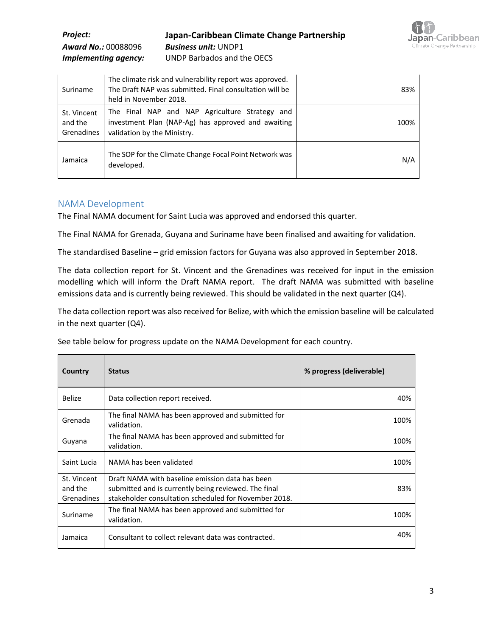| <i>Project:</i>            | Japan-Caribbean Climate Change Partnership |
|----------------------------|--------------------------------------------|
| <b>Award No.: 00088096</b> | <b>Business unit: UNDP1</b>                |
| Implementing agency:       | UNDP Barbados and the OECS                 |



#### NAMA Development

The Final NAMA document for Saint Lucia was approved and endorsed this quarter.

The Final NAMA for Grenada, Guyana and Suriname have been finalised and awaiting for validation.

The standardised Baseline – grid emission factors for Guyana was also approved in September 2018.

The data collection report for St. Vincent and the Grenadines was received for input in the emission modelling which will inform the Draft NAMA report. The draft NAMA was submitted with baseline emissions data and is currently being reviewed. This should be validated in the next quarter (Q4).

The data collection report was also received for Belize, with which the emission baseline will be calculated in the next quarter (Q4).

See table below for progress update on the NAMA Development for each country.

| Country                              | <b>Status</b>                                                                                                                                                    | % progress (deliverable) |
|--------------------------------------|------------------------------------------------------------------------------------------------------------------------------------------------------------------|--------------------------|
| Belize                               | Data collection report received.                                                                                                                                 | 40%                      |
| Grenada                              | The final NAMA has been approved and submitted for<br>validation.                                                                                                | 100%                     |
| Guyana                               | The final NAMA has been approved and submitted for<br>validation.                                                                                                | 100%                     |
| Saint Lucia                          | NAMA has been validated                                                                                                                                          | 100%                     |
| St. Vincent<br>and the<br>Grenadines | Draft NAMA with baseline emission data has been<br>submitted and is currently being reviewed. The final<br>stakeholder consultation scheduled for November 2018. | 83%                      |
| Suriname                             | The final NAMA has been approved and submitted for<br>validation.                                                                                                | 100%                     |
| Jamaica                              | Consultant to collect relevant data was contracted.                                                                                                              | 40%                      |

**pan**-Caribbean ate Change Partnership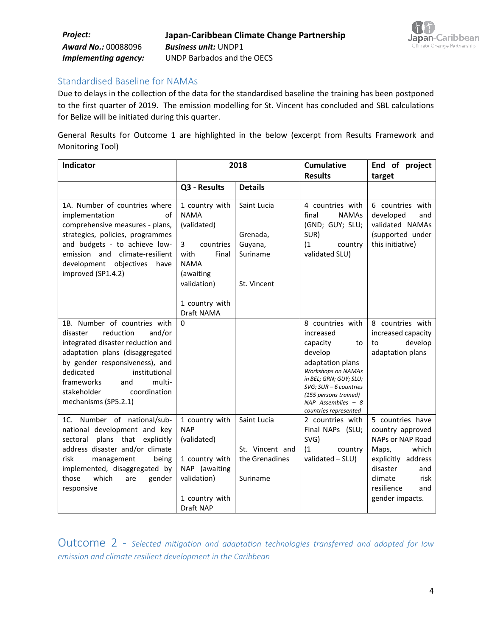

Standardised Baseline for NAMAs

Due to delays in the collection of the data for the standardised baseline the training has been postponed to the first quarter of 2019. The emission modelling for St. Vincent has concluded and SBL calculations for Belize will be initiated during this quarter.

General Results for Outcome 1 are highlighted in the below (excerpt from Results Framework and Monitoring Tool)

| Indicator                                                                                                                                                                                                                                                                                     | 2018                                                                                                                         |                                                              | <b>Cumulative</b><br><b>Results</b>                                                                                                                                                                                                           | End of project<br>target                                                                                                                                                       |
|-----------------------------------------------------------------------------------------------------------------------------------------------------------------------------------------------------------------------------------------------------------------------------------------------|------------------------------------------------------------------------------------------------------------------------------|--------------------------------------------------------------|-----------------------------------------------------------------------------------------------------------------------------------------------------------------------------------------------------------------------------------------------|--------------------------------------------------------------------------------------------------------------------------------------------------------------------------------|
|                                                                                                                                                                                                                                                                                               | Q3 - Results                                                                                                                 | <b>Details</b>                                               |                                                                                                                                                                                                                                               |                                                                                                                                                                                |
| 1A. Number of countries where<br>implementation<br>of<br>comprehensive measures - plans,                                                                                                                                                                                                      | 1 country with<br><b>NAMA</b><br>(validated)                                                                                 | Saint Lucia                                                  | 4 countries with<br>final<br><b>NAMAs</b><br>(GND; GUY; SLU;                                                                                                                                                                                  | 6 countries with<br>developed<br>and<br>validated NAMAs                                                                                                                        |
| strategies, policies, programmes<br>and budgets - to achieve low-                                                                                                                                                                                                                             | 3<br>countries                                                                                                               | Grenada,<br>Guyana,                                          | SUR)<br>(1)<br>country                                                                                                                                                                                                                        | (supported under<br>this initiative)                                                                                                                                           |
| emission and climate-resilient<br>development objectives<br>have<br>improved (SP1.4.2)                                                                                                                                                                                                        | with<br>Final<br><b>NAMA</b><br>(awaiting                                                                                    | Suriname                                                     | validated SLU)                                                                                                                                                                                                                                |                                                                                                                                                                                |
|                                                                                                                                                                                                                                                                                               | validation)                                                                                                                  | St. Vincent                                                  |                                                                                                                                                                                                                                               |                                                                                                                                                                                |
|                                                                                                                                                                                                                                                                                               | 1 country with<br>Draft NAMA                                                                                                 |                                                              |                                                                                                                                                                                                                                               |                                                                                                                                                                                |
| 1B. Number of countries with<br>reduction<br>and/or<br>disaster<br>integrated disaster reduction and<br>adaptation plans (disaggregated<br>by gender responsiveness), and<br>dedicated<br>institutional<br>frameworks<br>multi-<br>and<br>stakeholder<br>coordination<br>mechanisms (SP5.2.1) | $\Omega$                                                                                                                     |                                                              | 8 countries with<br>increased<br>capacity<br>to<br>develop<br>adaptation plans<br><b>Workshops on NAMAs</b><br>in BEL; GRN; GUY; SLU;<br>$SVG$ ; $SUR - 6$ countries<br>(155 persons trained)<br>NAP Assemblies $-8$<br>countries represented | 8 countries with<br>increased capacity<br>develop<br>to<br>adaptation plans                                                                                                    |
| 1C. Number of national/sub-<br>national development and key<br>sectoral<br>plans that explicitly<br>address disaster and/or climate<br>risk<br>management<br>being<br>implemented, disaggregated by<br>which<br>those<br>are<br>gender<br>responsive                                          | 1 country with<br><b>NAP</b><br>(validated)<br>1 country with<br>NAP (awaiting<br>validation)<br>1 country with<br>Draft NAP | Saint Lucia<br>St. Vincent and<br>the Grenadines<br>Suriname | 2 countries with<br>Final NAPs (SLU;<br>SVG)<br>(1)<br>country<br>validated - SLU)                                                                                                                                                            | 5 countries have<br>country approved<br>NAPs or NAP Road<br>which<br>Maps,<br>explicitly address<br>disaster<br>and<br>climate<br>risk<br>resilience<br>and<br>gender impacts. |

Outcome 2 - *Selected mitigation and adaptation technologies transferred and adopted for low emission and climate resilient development in the Caribbean*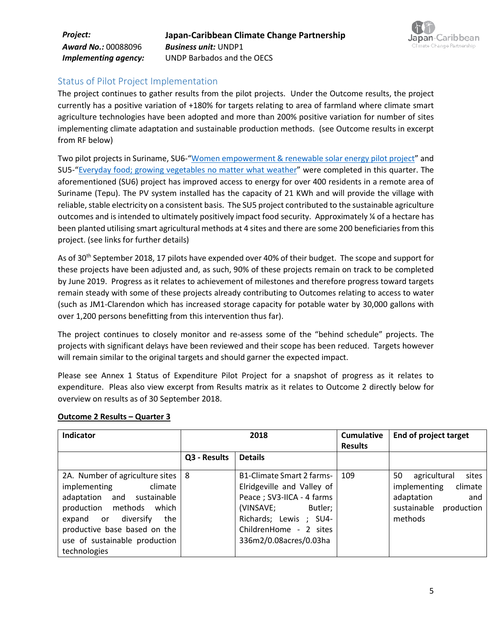

#### Status of Pilot Project Implementation

The project continues to gather results from the pilot projects. Under the Outcome results, the project currently has a positive variation of +180% for targets relating to area of farmland where climate smart agriculture technologies have been adopted and more than 200% positive variation for number of sites implementing climate adaptation and sustainable production methods. (see Outcome results in excerpt from RF below)

Two pilot projects in Suriname, SU6-"[Women empowerment & renewable solar energy pilot project](http://www.bb.undp.org/content/barbados/en/home/presscenter/articles/2018/equipment-handed-over-in-j-cccp-renewable-solar-energy-project.html)" and SU5-"[Everyday food; growing vegetables no matter what weather](http://www.bb.undp.org/content/barbados/en/home/presscenter/articles/2018/-eight-thousand-discarded-plastic-bottles-repurposed-in-sustaina.html)" were completed in this quarter. The aforementioned (SU6) project has improved access to energy for over 400 residents in a remote area of Suriname (Tepu). The PV system installed has the capacity of 21 KWh and will provide the village with reliable, stable electricity on a consistent basis. The SU5 project contributed to the sustainable agriculture outcomes and is intended to ultimately positively impact food security. Approximately ¼ of a hectare has been planted utilising smart agricultural methods at 4 sites and there are some 200 beneficiaries from this project. (see links for further details)

As of 30<sup>th</sup> September 2018, 17 pilots have expended over 40% of their budget. The scope and support for these projects have been adjusted and, as such, 90% of these projects remain on track to be completed by June 2019. Progress as it relates to achievement of milestones and therefore progress toward targets remain steady with some of these projects already contributing to Outcomes relating to access to water (such as JM1-Clarendon which has increased storage capacity for potable water by 30,000 gallons with over 1,200 persons benefitting from this intervention thus far).

The project continues to closely monitor and re-assess some of the "behind schedule" projects. The projects with significant delays have been reviewed and their scope has been reduced. Targets however will remain similar to the original targets and should garner the expected impact.

Please see Annex 1 Status of Expenditure Pilot Project for a snapshot of progress as it relates to expenditure. Pleas also view excerpt from Results matrix as it relates to Outcome 2 directly below for overview on results as of 30 September 2018.

| <b>Indicator</b>                                                                                                                                                                                                                              |              | 2018                                                                                                                                                                                        | <b>Cumulative</b><br><b>Results</b> | End of project target                                                                                               |
|-----------------------------------------------------------------------------------------------------------------------------------------------------------------------------------------------------------------------------------------------|--------------|---------------------------------------------------------------------------------------------------------------------------------------------------------------------------------------------|-------------------------------------|---------------------------------------------------------------------------------------------------------------------|
|                                                                                                                                                                                                                                               | Q3 - Results | <b>Details</b>                                                                                                                                                                              |                                     |                                                                                                                     |
| 2A. Number of agriculture sites   8<br>implementing<br>climate<br>adaptation<br>and sustainable<br>production methods which<br>diversify<br>expand or<br>the<br>productive base based on the<br>use of sustainable production<br>technologies |              | B1-Climate Smart 2 farms-<br>Elridgeville and Valley of<br>Peace ; SV3-IICA - 4 farms<br>(VINSAVE;<br>Butler;<br>Richards; Lewis ; SU4-<br>ChildrenHome - 2 sites<br>336m2/0.08acres/0.03ha | 109                                 | 50<br>agricultural<br>sites<br>implementing<br>climate<br>adaptation<br>and<br>sustainable<br>production<br>methods |

#### **Outcome 2 Results – Quarter 3**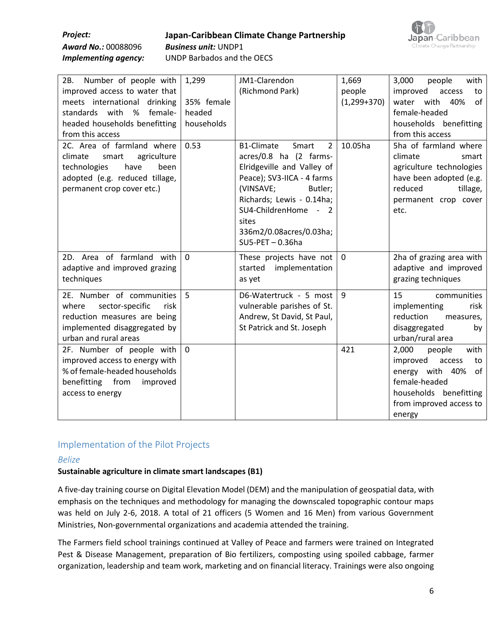#### *Project:* **Japan-Caribbean Climate Change Partnership** *Award No.:* 00088096 *Business unit:* UNDP1 *Implementing agency:* UNDP Barbados and the OECS



| 2B. Number of people with<br>improved access to water that<br>meets international drinking<br>standards with %<br>female-<br>headed households benefitting<br>from this access | 1,299<br>35% female<br>headed<br>households | JM1-Clarendon<br>(Richmond Park)                                                                                                                                                                                                                                          | 1,669<br>people<br>$(1,299+370)$ | 3,000<br>people<br>with<br>improved<br>access<br>to<br>water with 40%<br>0f<br>female-headed<br>households benefitting<br>from this access                   |
|--------------------------------------------------------------------------------------------------------------------------------------------------------------------------------|---------------------------------------------|---------------------------------------------------------------------------------------------------------------------------------------------------------------------------------------------------------------------------------------------------------------------------|----------------------------------|--------------------------------------------------------------------------------------------------------------------------------------------------------------|
| 2C. Area of farmland where<br>climate<br>agriculture<br>smart<br>technologies<br>have<br>been<br>adopted (e.g. reduced tillage,<br>permanent crop cover etc.)                  | 0.53                                        | <b>B1-Climate</b><br>$\overline{2}$<br>Smart<br>acres/0.8 ha (2 farms-<br>Elridgeville and Valley of<br>Peace); SV3-IICA - 4 farms<br>(VINSAVE;<br>Butler;<br>Richards; Lewis - 0.14ha;<br>SU4-ChildrenHome - 2<br>sites<br>336m2/0.08acres/0.03ha;<br>$SU5-PET - 0.36ha$ | 10.05ha                          | 5ha of farmland where<br>climate<br>smart<br>agriculture technologies<br>have been adopted (e.g.<br>reduced<br>tillage,<br>permanent crop cover<br>etc.      |
| 2D. Area of farmland with<br>adaptive and improved grazing<br>techniques                                                                                                       | $\Omega$                                    | These projects have not<br>started<br>implementation<br>as yet                                                                                                                                                                                                            | $\mathbf 0$                      | 2ha of grazing area with<br>adaptive and improved<br>grazing techniques                                                                                      |
| 2E. Number of communities<br>where<br>sector-specific<br>risk<br>reduction measures are being<br>implemented disaggregated by<br>urban and rural areas                         | 5                                           | D6-Watertruck - 5 most<br>vulnerable parishes of St.<br>Andrew, St David, St Paul,<br>St Patrick and St. Joseph                                                                                                                                                           | 9                                | 15<br>communities<br>implementing<br>risk<br>reduction<br>measures,<br>disaggregated<br>by<br>urban/rural area                                               |
| 2F. Number of people with<br>improved access to energy with<br>% of female-headed households<br>benefitting from<br>improved<br>access to energy                               | $\mathbf 0$                                 |                                                                                                                                                                                                                                                                           | 421                              | 2,000<br>people<br>with<br>improved<br>access<br>to<br>energy with 40%<br>0f<br>female-headed<br>households benefitting<br>from improved access to<br>energy |

### Implementation of the Pilot Projects

#### *Belize*

#### **Sustainable agriculture in climate smart landscapes (B1)**

A five-day training course on Digital Elevation Model (DEM) and the manipulation of geospatial data, with emphasis on the techniques and methodology for managing the downscaled topographic contour maps was held on July 2-6, 2018. A total of 21 officers (5 Women and 16 Men) from various Government Ministries, Non-governmental organizations and academia attended the training.

The Farmers field school trainings continued at Valley of Peace and farmers were trained on Integrated Pest & Disease Management, preparation of Bio fertilizers, composting using spoiled cabbage, farmer organization, leadership and team work, marketing and on financial literacy. Trainings were also ongoing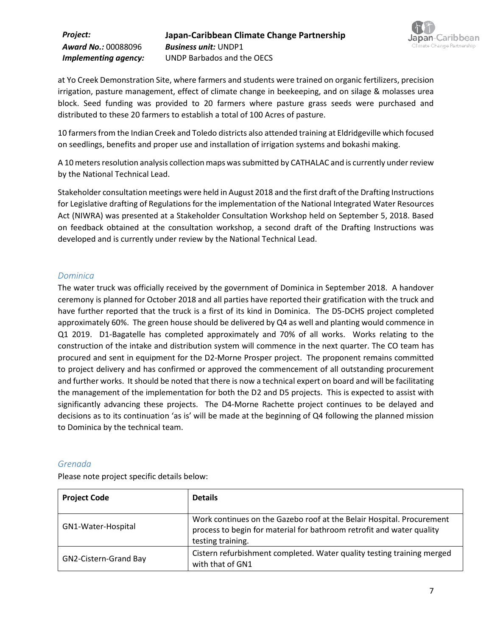

at Yo Creek Demonstration Site, where farmers and students were trained on organic fertilizers, precision irrigation, pasture management, effect of climate change in beekeeping, and on silage & molasses urea block. Seed funding was provided to 20 farmers where pasture grass seeds were purchased and distributed to these 20 farmers to establish a total of 100 Acres of pasture.

10 farmers from the Indian Creek and Toledo districts also attended training at Eldridgeville which focused on seedlings, benefits and proper use and installation of irrigation systems and bokashi making.

A 10 meters resolution analysis collection maps was submitted by CATHALAC and is currently under review by the National Technical Lead.

Stakeholder consultation meetings were held in August 2018 and the first draft of the Drafting Instructions for Legislative drafting of Regulations for the implementation of the National Integrated Water Resources Act (NIWRA) was presented at a Stakeholder Consultation Workshop held on September 5, 2018. Based on feedback obtained at the consultation workshop, a second draft of the Drafting Instructions was developed and is currently under review by the National Technical Lead.

#### *Dominica*

The water truck was officially received by the government of Dominica in September 2018. A handover ceremony is planned for October 2018 and all parties have reported their gratification with the truck and have further reported that the truck is a first of its kind in Dominica. The D5-DCHS project completed approximately 60%. The green house should be delivered by Q4 as well and planting would commence in Q1 2019. D1-Bagatelle has completed approximately and 70% of all works. Works relating to the construction of the intake and distribution system will commence in the next quarter. The CO team has procured and sent in equipment for the D2-Morne Prosper project. The proponent remains committed to project delivery and has confirmed or approved the commencement of all outstanding procurement and further works. It should be noted that there is now a technical expert on board and will be facilitating the management of the implementation for both the D2 and D5 projects. This is expected to assist with significantly advancing these projects. The D4-Morne Rachette project continues to be delayed and decisions as to its continuation 'as is' will be made at the beginning of Q4 following the planned mission to Dominica by the technical team.

#### *Grenada*

Please note project specific details below:

| <b>Project Code</b>   | <b>Details</b>                                                                                                                                                      |
|-----------------------|---------------------------------------------------------------------------------------------------------------------------------------------------------------------|
| GN1-Water-Hospital    | Work continues on the Gazebo roof at the Belair Hospital. Procurement<br>process to begin for material for bathroom retrofit and water quality<br>testing training. |
| GN2-Cistern-Grand Bay | Cistern refurbishment completed. Water quality testing training merged<br>with that of GN1                                                                          |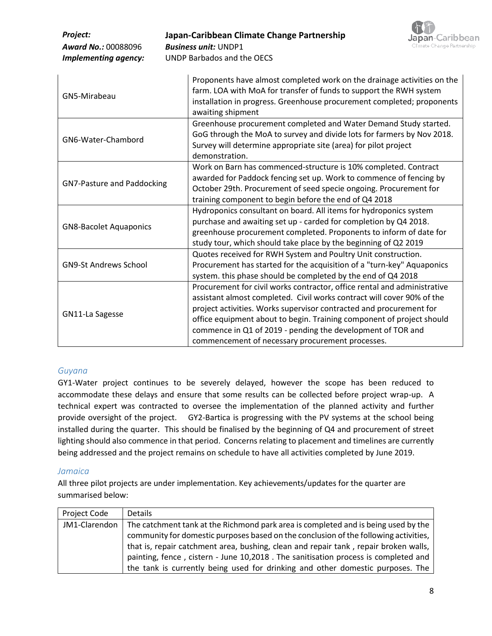| Project:<br><b>Award No.: 00088096</b><br><b>Implementing agency:</b> | Japan-Caribbean Climate Change Partnership<br><b>Japan</b> -Caribbean<br>Climate Change Partnership<br><b>Business unit: UNDP1</b><br><b>UNDP Barbados and the OECS</b>                                                                                                                                                                                                                                               |
|-----------------------------------------------------------------------|-----------------------------------------------------------------------------------------------------------------------------------------------------------------------------------------------------------------------------------------------------------------------------------------------------------------------------------------------------------------------------------------------------------------------|
| GN5-Mirabeau                                                          | Proponents have almost completed work on the drainage activities on the<br>farm. LOA with MoA for transfer of funds to support the RWH system<br>installation in progress. Greenhouse procurement completed; proponents<br>awaiting shipment                                                                                                                                                                          |
| GN6-Water-Chambord                                                    | Greenhouse procurement completed and Water Demand Study started.<br>GoG through the MoA to survey and divide lots for farmers by Nov 2018.<br>Survey will determine appropriate site (area) for pilot project<br>demonstration.                                                                                                                                                                                       |
| <b>GN7-Pasture and Paddocking</b>                                     | Work on Barn has commenced-structure is 10% completed. Contract<br>awarded for Paddock fencing set up. Work to commence of fencing by<br>October 29th. Procurement of seed specie ongoing. Procurement for<br>training component to begin before the end of Q4 2018                                                                                                                                                   |
| <b>GN8-Bacolet Aquaponics</b>                                         | Hydroponics consultant on board. All items for hydroponics system<br>purchase and awaiting set up - carded for completion by Q4 2018.<br>greenhouse procurement completed. Proponents to inform of date for<br>study tour, which should take place by the beginning of Q2 2019                                                                                                                                        |
| <b>GN9-St Andrews School</b>                                          | Quotes received for RWH System and Poultry Unit construction.<br>Procurement has started for the acquisition of a "turn-key" Aquaponics<br>system. this phase should be completed by the end of Q4 2018                                                                                                                                                                                                               |
| GN11-La Sagesse                                                       | Procurement for civil works contractor, office rental and administrative<br>assistant almost completed. Civil works contract will cover 90% of the<br>project activities. Works supervisor contracted and procurement for<br>office equipment about to begin. Training component of project should<br>commence in Q1 of 2019 - pending the development of TOR and<br>commencement of necessary procurement processes. |

#### *Guyana*

GY1-Water project continues to be severely delayed, however the scope has been reduced to accommodate these delays and ensure that some results can be collected before project wrap-up. A technical expert was contracted to oversee the implementation of the planned activity and further provide oversight of the project. GY2-Bartica is progressing with the PV systems at the school being installed during the quarter. This should be finalised by the beginning of Q4 and procurement of street lighting should also commence in that period. Concerns relating to placement and timelines are currently being addressed and the project remains on schedule to have all activities completed by June 2019.

#### *Jamaica*

All three pilot projects are under implementation. Key achievements/updates for the quarter are summarised below:

| Project Code  | <b>Details</b>                                                                       |
|---------------|--------------------------------------------------------------------------------------|
| JM1-Clarendon | The catchment tank at the Richmond park area is completed and is being used by the   |
|               | community for domestic purposes based on the conclusion of the following activities, |
|               | that is, repair catchment area, bushing, clean and repair tank, repair broken walls, |
|               | painting, fence, cistern - June 10,2018. The sanitisation process is completed and   |
|               | the tank is currently being used for drinking and other domestic purposes. The       |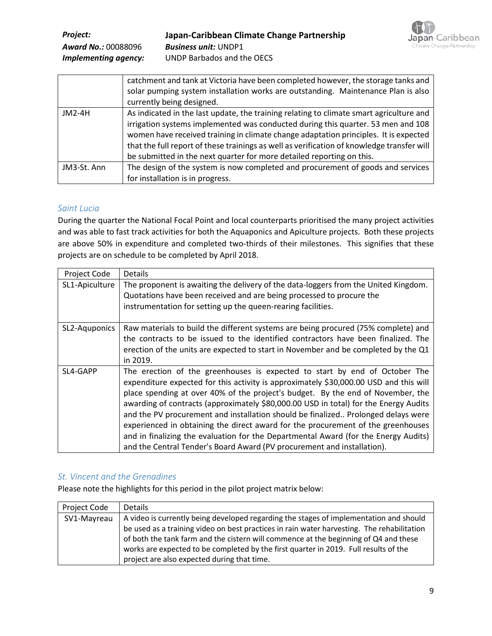

|             | catchment and tank at Victoria have been completed however, the storage tanks and<br>solar pumping system installation works are outstanding. Maintenance Plan is also<br>currently being designed.                                                                                                                                                                                                                                        |
|-------------|--------------------------------------------------------------------------------------------------------------------------------------------------------------------------------------------------------------------------------------------------------------------------------------------------------------------------------------------------------------------------------------------------------------------------------------------|
| $JM2-4H$    | As indicated in the last update, the training relating to climate smart agriculture and<br>irrigation systems implemented was conducted during this quarter. 53 men and 108<br>women have received training in climate change adaptation principles. It is expected<br>that the full report of these trainings as well as verification of knowledge transfer will<br>be submitted in the next quarter for more detailed reporting on this. |
| JM3-St. Ann | The design of the system is now completed and procurement of goods and services<br>for installation is in progress.                                                                                                                                                                                                                                                                                                                        |

#### *Saint Lucia*

During the quarter the National Focal Point and local counterparts prioritised the many project activities and was able to fast track activities for both the Aquaponics and Apiculture projects. Both these projects are above 50% in expenditure and completed two-thirds of their milestones. This signifies that these projects are on schedule to be completed by April 2018.

| Project Code   | <b>Details</b>                                                                                                                                                                                                                                                                                                                                                                                                                                                                                                                                                                                                                                                                            |
|----------------|-------------------------------------------------------------------------------------------------------------------------------------------------------------------------------------------------------------------------------------------------------------------------------------------------------------------------------------------------------------------------------------------------------------------------------------------------------------------------------------------------------------------------------------------------------------------------------------------------------------------------------------------------------------------------------------------|
| SL1-Apiculture | The proponent is awaiting the delivery of the data-loggers from the United Kingdom.<br>Quotations have been received and are being processed to procure the<br>instrumentation for setting up the queen-rearing facilities.                                                                                                                                                                                                                                                                                                                                                                                                                                                               |
| SL2-Aquponics  | Raw materials to build the different systems are being procured (75% complete) and<br>the contracts to be issued to the identified contractors have been finalized. The<br>erection of the units are expected to start in November and be completed by the Q1<br>in 2019.                                                                                                                                                                                                                                                                                                                                                                                                                 |
| SL4-GAPP       | The erection of the greenhouses is expected to start by end of October The<br>expenditure expected for this activity is approximately \$30,000.00 USD and this will<br>place spending at over 40% of the project's budget. By the end of November, the<br>awarding of contracts (approximately \$80,000.00 USD in total) for the Energy Audits<br>and the PV procurement and installation should be finalized Prolonged delays were<br>experienced in obtaining the direct award for the procurement of the greenhouses<br>and in finalizing the evaluation for the Departmental Award (for the Energy Audits)<br>and the Central Tender's Board Award (PV procurement and installation). |

#### *St. Vincent and the Grenadines*

Please note the highlights for this period in the pilot project matrix below:

| Project Code | <b>Details</b>                                                                             |
|--------------|--------------------------------------------------------------------------------------------|
| SV1-Mayreau  | A video is currently being developed regarding the stages of implementation and should     |
|              | be used as a training video on best practices in rain water harvesting. The rehabilitation |
|              | of both the tank farm and the cistern will commence at the beginning of Q4 and these       |
|              | works are expected to be completed by the first quarter in 2019. Full results of the       |
|              | project are also expected during that time.                                                |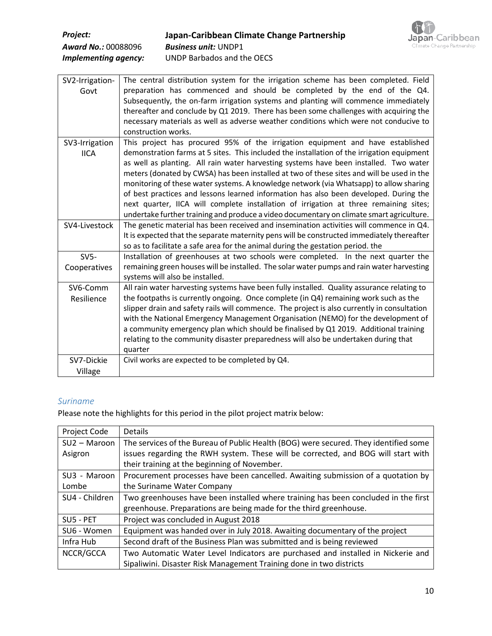| <b>Project:</b>            |
|----------------------------|
| <b>Award No.: 00088096</b> |
| Implementing agency:       |



| SV2-Irrigation- | The central distribution system for the irrigation scheme has been completed. Field         |
|-----------------|---------------------------------------------------------------------------------------------|
| Govt            | preparation has commenced and should be completed by the end of the Q4.                     |
|                 | Subsequently, the on-farm irrigation systems and planting will commence immediately         |
|                 | thereafter and conclude by Q1 2019. There has been some challenges with acquiring the       |
|                 | necessary materials as well as adverse weather conditions which were not conducive to       |
|                 | construction works.                                                                         |
| SV3-Irrigation  | This project has procured 95% of the irrigation equipment and have established              |
| <b>IICA</b>     | demonstration farms at 5 sites. This included the installation of the irrigation equipment  |
|                 | as well as planting. All rain water harvesting systems have been installed. Two water       |
|                 | meters (donated by CWSA) has been installed at two of these sites and will be used in the   |
|                 | monitoring of these water systems. A knowledge network (via Whatsapp) to allow sharing      |
|                 | of best practices and lessons learned information has also been developed. During the       |
|                 | next quarter, IICA will complete installation of irrigation at three remaining sites;       |
|                 |                                                                                             |
|                 | undertake further training and produce a video documentary on climate smart agriculture.    |
| SV4-Livestock   | The genetic material has been received and insemination activities will commence in Q4.     |
|                 | It is expected that the separate maternity pens will be constructed immediately thereafter  |
|                 | so as to facilitate a safe area for the animal during the gestation period. the             |
| $SV5-$          | Installation of greenhouses at two schools were completed. In the next quarter the          |
| Cooperatives    | remaining green houses will be installed. The solar water pumps and rain water harvesting   |
|                 | systems will also be installed.                                                             |
| SV6-Comm        | All rain water harvesting systems have been fully installed. Quality assurance relating to  |
| Resilience      | the footpaths is currently ongoing. Once complete (in Q4) remaining work such as the        |
|                 | slipper drain and safety rails will commence. The project is also currently in consultation |
|                 | with the National Emergency Management Organisation (NEMO) for the development of           |
|                 | a community emergency plan which should be finalised by Q1 2019. Additional training        |
|                 | relating to the community disaster preparedness will also be undertaken during that         |
|                 | quarter                                                                                     |
| SV7-Dickie      | Civil works are expected to be completed by Q4.                                             |
| Village         |                                                                                             |

#### *Suriname*

Please note the highlights for this period in the pilot project matrix below:

| Project Code   | <b>Details</b>                                                                       |
|----------------|--------------------------------------------------------------------------------------|
| $SU2 - Maroon$ | The services of the Bureau of Public Health (BOG) were secured. They identified some |
| Asigron        | issues regarding the RWH system. These will be corrected, and BOG will start with    |
|                | their training at the beginning of November.                                         |
| SU3 - Maroon   | Procurement processes have been cancelled. Awaiting submission of a quotation by     |
| Lombe          | the Suriname Water Company                                                           |
| SU4 - Children | Two greenhouses have been installed where training has been concluded in the first   |
|                | greenhouse. Preparations are being made for the third greenhouse.                    |
| SU5 - PET      | Project was concluded in August 2018                                                 |
| SU6 - Women    | Equipment was handed over in July 2018. Awaiting documentary of the project          |
| Infra Hub      | Second draft of the Business Plan was submitted and is being reviewed                |
| NCCR/GCCA      | Two Automatic Water Level Indicators are purchased and installed in Nickerie and     |
|                | Sipaliwini. Disaster Risk Management Training done in two districts                  |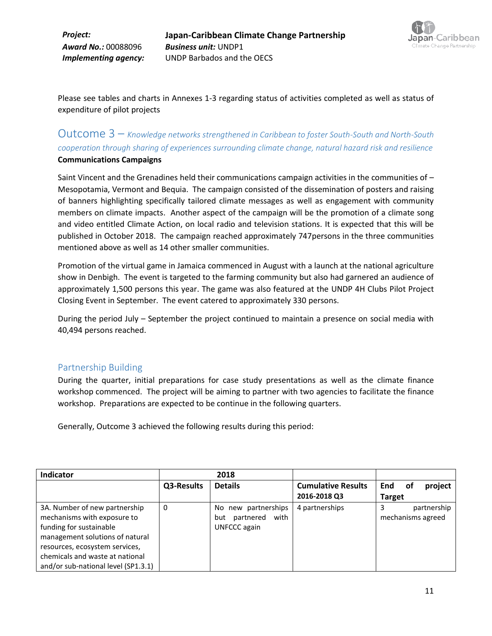

Please see tables and charts in Annexes 1-3 regarding status of activities completed as well as status of expenditure of pilot projects

## Outcome 3 – *Knowledge networks strengthened in Caribbean to foster South-South and North-South cooperation through sharing of experiences surrounding climate change, natural hazard risk and resilience*  **Communications Campaigns**

Saint Vincent and the Grenadines held their communications campaign activities in the communities of – Mesopotamia, Vermont and Bequia. The campaign consisted of the dissemination of posters and raising of banners highlighting specifically tailored climate messages as well as engagement with community members on climate impacts. Another aspect of the campaign will be the promotion of a climate song and video entitled Climate Action, on local radio and television stations. It is expected that this will be published in October 2018. The campaign reached approximately 747persons in the three communities mentioned above as well as 14 other smaller communities.

Promotion of the virtual game in Jamaica commenced in August with a launch at the national agriculture show in Denbigh. The event is targeted to the farming community but also had garnered an audience of approximately 1,500 persons this year. The game was also featured at the UNDP 4H Clubs Pilot Project Closing Event in September. The event catered to approximately 330 persons.

During the period July – September the project continued to maintain a presence on social media with 40,494 persons reached.

#### Partnership Building

During the quarter, initial preparations for case study presentations as well as the climate finance workshop commenced. The project will be aiming to partner with two agencies to facilitate the finance workshop. Preparations are expected to be continue in the following quarters.

Generally, Outcome 3 achieved the following results during this period:

| Indicator                                                                                                                                                                                                                              |            | 2018                                                             |                           |                                  |
|----------------------------------------------------------------------------------------------------------------------------------------------------------------------------------------------------------------------------------------|------------|------------------------------------------------------------------|---------------------------|----------------------------------|
|                                                                                                                                                                                                                                        | Q3-Results | <b>Details</b>                                                   | <b>Cumulative Results</b> | <b>End</b><br>project<br>.of     |
|                                                                                                                                                                                                                                        |            |                                                                  | 2016-2018 Q3              | <b>Target</b>                    |
| 3A. Number of new partnership<br>mechanisms with exposure to<br>funding for sustainable<br>management solutions of natural<br>resources, ecosystem services,<br>chemicals and waste at national<br>and/or sub-national level (SP1.3.1) | 0          | new partnerships<br>No.<br>partnered with<br>but<br>UNFCCC again | 4 partnerships            | partnership<br>mechanisms agreed |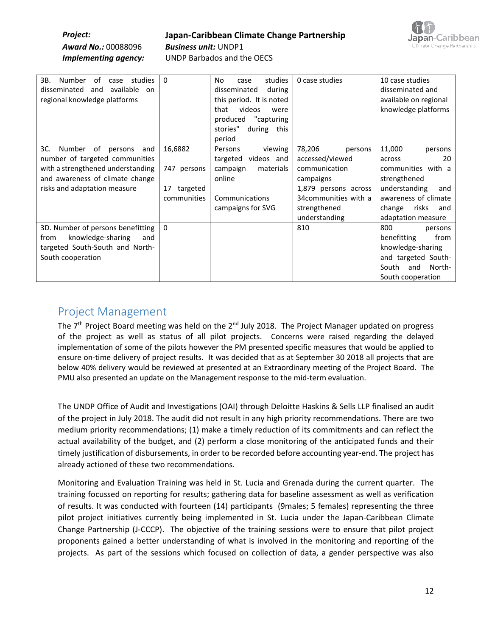# *Project:* **Japan-Caribbean Climate Change Partnership**



*Implementing agency:* UNDP Barbados and the OECS

| ЗΒ.<br>Number<br>of<br>studies<br>case<br>available on<br>disseminated<br>and<br>regional knowledge platforms                                                                   | $\Omega$                                                | studies<br>No.<br>case<br>disseminated<br>during<br>this period. It is noted<br>videos<br>that<br>were<br>"capturing<br>produced<br>stories"<br>during<br>this<br>period | 0 case studies                                                                                                                                       | 10 case studies<br>disseminated and<br>available on regional<br>knowledge platforms                                                                                     |
|---------------------------------------------------------------------------------------------------------------------------------------------------------------------------------|---------------------------------------------------------|--------------------------------------------------------------------------------------------------------------------------------------------------------------------------|------------------------------------------------------------------------------------------------------------------------------------------------------|-------------------------------------------------------------------------------------------------------------------------------------------------------------------------|
| 3C.<br>Number<br>of<br>persons<br>and<br>number of targeted communities<br>with a strengthened understanding<br>and awareness of climate change<br>risks and adaptation measure | 16,6882<br>747 persons<br>17<br>targeted<br>communities | Persons<br>viewing<br>videos and<br>targeted<br>campaign<br>materials<br>online<br>Communications<br>campaigns for SVG                                                   | 78,206<br>persons<br>accessed/viewed<br>communication<br>campaigns<br>1,879 persons across<br>34 communities with a<br>strengthened<br>understanding | 11,000<br>persons<br>20<br>across<br>communities with a<br>strengthened<br>understanding<br>and<br>awareness of climate<br>risks<br>change<br>and<br>adaptation measure |
| 3D. Number of persons benefitting<br>knowledge-sharing<br>from<br>and<br>targeted South-South and North-<br>South cooperation                                                   | $\Omega$                                                |                                                                                                                                                                          | 810                                                                                                                                                  | 800<br>persons<br>from<br>benefitting<br>knowledge-sharing<br>and targeted South-<br>North-<br>South<br>and<br>South cooperation                                        |

# Project Management

The 7<sup>th</sup> Project Board meeting was held on the 2<sup>nd</sup> July 2018. The Project Manager updated on progress of the project as well as status of all pilot projects. Concerns were raised regarding the delayed implementation of some of the pilots however the PM presented specific measures that would be applied to ensure on-time delivery of project results. It was decided that as at September 30 2018 all projects that are below 40% delivery would be reviewed at presented at an Extraordinary meeting of the Project Board. The PMU also presented an update on the Management response to the mid-term evaluation.

The UNDP Office of Audit and Investigations (OAI) through Deloitte Haskins & Sells LLP finalised an audit of the project in July 2018. The audit did not result in any high priority recommendations. There are two medium priority recommendations; (1) make a timely reduction of its commitments and can reflect the actual availability of the budget, and (2) perform a close monitoring of the anticipated funds and their timely justification of disbursements, in order to be recorded before accounting year-end. The project has already actioned of these two recommendations.

Monitoring and Evaluation Training was held in St. Lucia and Grenada during the current quarter. The training focussed on reporting for results; gathering data for baseline assessment as well as verification of results. It was conducted with fourteen (14) participants (9males; 5 females) representing the three pilot project initiatives currently being implemented in St. Lucia under the Japan-Caribbean Climate Change Partnership (J-CCCP). The objective of the training sessions were to ensure that pilot project proponents gained a better understanding of what is involved in the monitoring and reporting of the projects. As part of the sessions which focused on collection of data, a gender perspective was also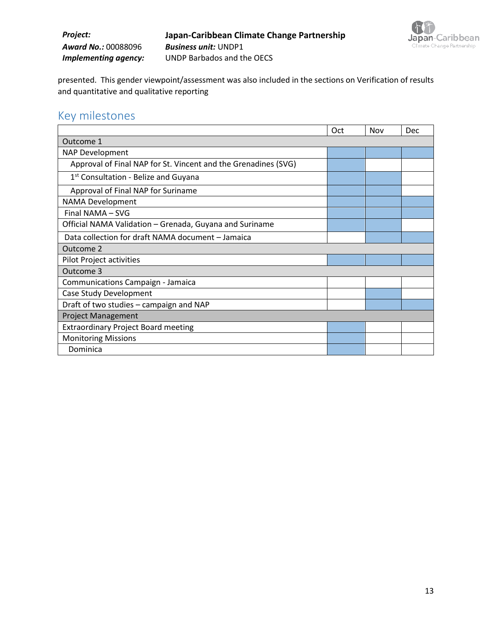## *Project:* **Japan-Caribbean Climate Change Partnership** *Award No.:* 00088096 *Business unit:* UNDP1 *Implementing agency:* UNDP Barbados and the OECS



presented. This gender viewpoint/assessment was also included in the sections on Verification of results and quantitative and qualitative reporting

# Key milestones

|                                                                | Oct | Nov | Dec |
|----------------------------------------------------------------|-----|-----|-----|
| Outcome 1                                                      |     |     |     |
| NAP Development                                                |     |     |     |
| Approval of Final NAP for St. Vincent and the Grenadines (SVG) |     |     |     |
| 1 <sup>st</sup> Consultation - Belize and Guyana               |     |     |     |
| Approval of Final NAP for Suriname                             |     |     |     |
| <b>NAMA Development</b>                                        |     |     |     |
| Final NAMA - SVG                                               |     |     |     |
| Official NAMA Validation - Grenada, Guyana and Suriname        |     |     |     |
| Data collection for draft NAMA document - Jamaica              |     |     |     |
| Outcome 2                                                      |     |     |     |
| Pilot Project activities                                       |     |     |     |
| Outcome 3                                                      |     |     |     |
| <b>Communications Campaign - Jamaica</b>                       |     |     |     |
| Case Study Development                                         |     |     |     |
| Draft of two studies - campaign and NAP                        |     |     |     |
| <b>Project Management</b>                                      |     |     |     |
| <b>Extraordinary Project Board meeting</b>                     |     |     |     |
| <b>Monitoring Missions</b>                                     |     |     |     |
| Dominica                                                       |     |     |     |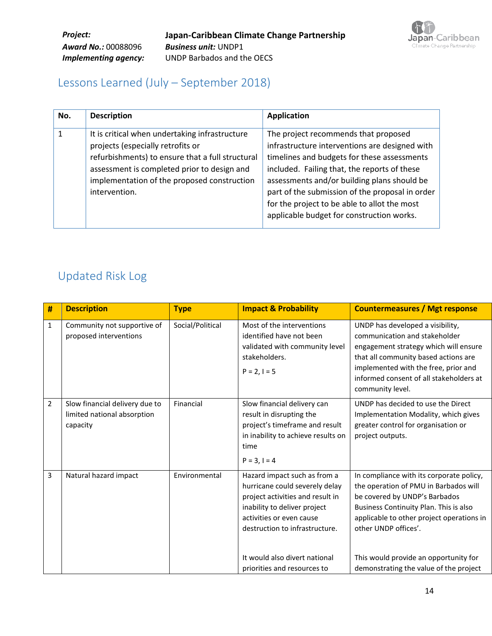

# Lessons Learned (July – September 2018)

| No. | <b>Description</b>                                                                                                                                                                                                                                     | <b>Application</b>                                                                                                                                                                                                                                                                                                                                                                   |
|-----|--------------------------------------------------------------------------------------------------------------------------------------------------------------------------------------------------------------------------------------------------------|--------------------------------------------------------------------------------------------------------------------------------------------------------------------------------------------------------------------------------------------------------------------------------------------------------------------------------------------------------------------------------------|
|     | It is critical when undertaking infrastructure<br>projects (especially retrofits or<br>refurbishments) to ensure that a full structural<br>assessment is completed prior to design and<br>implementation of the proposed construction<br>intervention. | The project recommends that proposed<br>infrastructure interventions are designed with<br>timelines and budgets for these assessments<br>included. Failing that, the reports of these<br>assessments and/or building plans should be<br>part of the submission of the proposal in order<br>for the project to be able to allot the most<br>applicable budget for construction works. |

# Updated Risk Log

| #              | <b>Description</b>                                                        | <b>Type</b>      | <b>Impact &amp; Probability</b>                                                                                                                                                                                                                                  | <b>Countermeasures / Mgt response</b>                                                                                                                                                                                                                                                                                |
|----------------|---------------------------------------------------------------------------|------------------|------------------------------------------------------------------------------------------------------------------------------------------------------------------------------------------------------------------------------------------------------------------|----------------------------------------------------------------------------------------------------------------------------------------------------------------------------------------------------------------------------------------------------------------------------------------------------------------------|
| $\mathbf{1}$   | Community not supportive of<br>proposed interventions                     | Social/Political | Most of the interventions<br>identified have not been<br>validated with community level<br>stakeholders.<br>$P = 2, I = 5$                                                                                                                                       | UNDP has developed a visibility,<br>communication and stakeholder<br>engagement strategy which will ensure<br>that all community based actions are<br>implemented with the free, prior and<br>informed consent of all stakeholders at<br>community level.                                                            |
| $\overline{2}$ | Slow financial delivery due to<br>limited national absorption<br>capacity | Financial        | Slow financial delivery can<br>result in disrupting the<br>project's timeframe and result<br>in inability to achieve results on<br>time<br>$P = 3, I = 4$                                                                                                        | UNDP has decided to use the Direct<br>Implementation Modality, which gives<br>greater control for organisation or<br>project outputs.                                                                                                                                                                                |
| 3              | Natural hazard impact                                                     | Environmental    | Hazard impact such as from a<br>hurricane could severely delay<br>project activities and result in<br>inability to deliver project<br>activities or even cause<br>destruction to infrastructure.<br>It would also divert national<br>priorities and resources to | In compliance with its corporate policy,<br>the operation of PMU in Barbados will<br>be covered by UNDP's Barbados<br>Business Continuity Plan. This is also<br>applicable to other project operations in<br>other UNDP offices'.<br>This would provide an opportunity for<br>demonstrating the value of the project |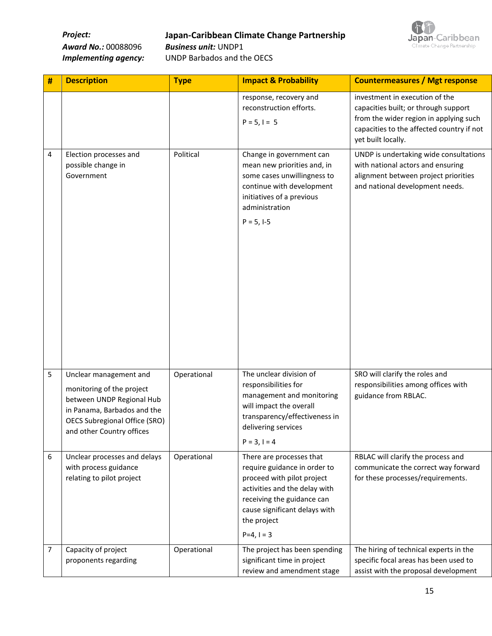**Project: Japan-Caribbean Climate Change Partnership**<br>*Award No.:* **00088096** *Business unit:* **UNDP1** 



**Award No.: 00088096** 

*Implementing agency:* UNDP Barbados and the OECS

| # | <b>Description</b>                                                                                                                                                                   | <b>Type</b> | <b>Impact &amp; Probability</b>                                                                                                                                                                                     | <b>Countermeasures / Mgt response</b>                                                                                                                                               |
|---|--------------------------------------------------------------------------------------------------------------------------------------------------------------------------------------|-------------|---------------------------------------------------------------------------------------------------------------------------------------------------------------------------------------------------------------------|-------------------------------------------------------------------------------------------------------------------------------------------------------------------------------------|
|   |                                                                                                                                                                                      |             | response, recovery and<br>reconstruction efforts.<br>$P = 5, I = 5$                                                                                                                                                 | investment in execution of the<br>capacities built; or through support<br>from the wider region in applying such<br>capacities to the affected country if not<br>yet built locally. |
| 4 | Election processes and<br>possible change in<br>Government                                                                                                                           | Political   | Change in government can<br>mean new priorities and, in<br>some cases unwillingness to<br>continue with development<br>initiatives of a previous<br>administration<br>$P = 5, 1-5$                                  | UNDP is undertaking wide consultations<br>with national actors and ensuring<br>alignment between project priorities<br>and national development needs.                              |
| 5 | Unclear management and<br>monitoring of the project<br>between UNDP Regional Hub<br>in Panama, Barbados and the<br><b>OECS Subregional Office (SRO)</b><br>and other Country offices | Operational | The unclear division of<br>responsibilities for<br>management and monitoring<br>will impact the overall<br>transparency/effectiveness in<br>delivering services<br>$P = 3, I = 4$                                   | SRO will clarify the roles and<br>responsibilities among offices with<br>guidance from RBLAC.                                                                                       |
| 6 | Unclear processes and delays<br>with process guidance<br>relating to pilot project                                                                                                   | Operational | There are processes that<br>require guidance in order to<br>proceed with pilot project<br>activities and the delay with<br>receiving the guidance can<br>cause significant delays with<br>the project<br>$P=4, I=3$ | RBLAC will clarify the process and<br>communicate the correct way forward<br>for these processes/requirements.                                                                      |
| 7 | Capacity of project<br>proponents regarding                                                                                                                                          | Operational | The project has been spending<br>significant time in project<br>review and amendment stage                                                                                                                          | The hiring of technical experts in the<br>specific focal areas has been used to<br>assist with the proposal development                                                             |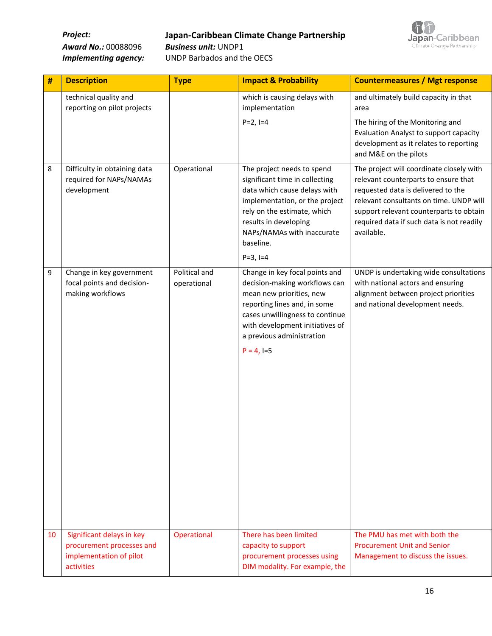*Project:* **Japan-Caribbean Climate Change Partnership**



*Award No.:* 00088096 *Business unit:* UNDP1

*Implementing agency:* UNDP Barbados and the OECS

| #  | <b>Description</b>                                                                              | <b>Type</b>                  | <b>Impact &amp; Probability</b>                                                                                                                                                                                                                 | <b>Countermeasures / Mgt response</b>                                                                                                                                                                                                                                                            |
|----|-------------------------------------------------------------------------------------------------|------------------------------|-------------------------------------------------------------------------------------------------------------------------------------------------------------------------------------------------------------------------------------------------|--------------------------------------------------------------------------------------------------------------------------------------------------------------------------------------------------------------------------------------------------------------------------------------------------|
|    | technical quality and<br>reporting on pilot projects                                            |                              | which is causing delays with<br>implementation<br>$P=2, I=4$                                                                                                                                                                                    | and ultimately build capacity in that<br>area<br>The hiring of the Monitoring and<br>Evaluation Analyst to support capacity<br>development as it relates to reporting                                                                                                                            |
| 8  | Difficulty in obtaining data<br>required for NAPs/NAMAs<br>development                          | Operational                  | The project needs to spend<br>significant time in collecting<br>data which cause delays with<br>implementation, or the project<br>rely on the estimate, which<br>results in developing<br>NAPs/NAMAs with inaccurate<br>baseline.<br>$P=3, I=4$ | and M&E on the pilots<br>The project will coordinate closely with<br>relevant counterparts to ensure that<br>requested data is delivered to the<br>relevant consultants on time. UNDP will<br>support relevant counterparts to obtain<br>required data if such data is not readily<br>available. |
| 9  | Change in key government<br>focal points and decision-<br>making workflows                      | Political and<br>operational | Change in key focal points and<br>decision-making workflows can<br>mean new priorities, new<br>reporting lines and, in some<br>cases unwillingness to continue<br>with development initiatives of<br>a previous administration<br>$P = 4, I=5$  | UNDP is undertaking wide consultations<br>with national actors and ensuring<br>alignment between project priorities<br>and national development needs.                                                                                                                                           |
| 10 | Significant delays in key<br>procurement processes and<br>implementation of pilot<br>activities | Operational                  | There has been limited<br>capacity to support<br>procurement processes using<br>DIM modality. For example, the                                                                                                                                  | The PMU has met with both the<br><b>Procurement Unit and Senior</b><br>Management to discuss the issues.                                                                                                                                                                                         |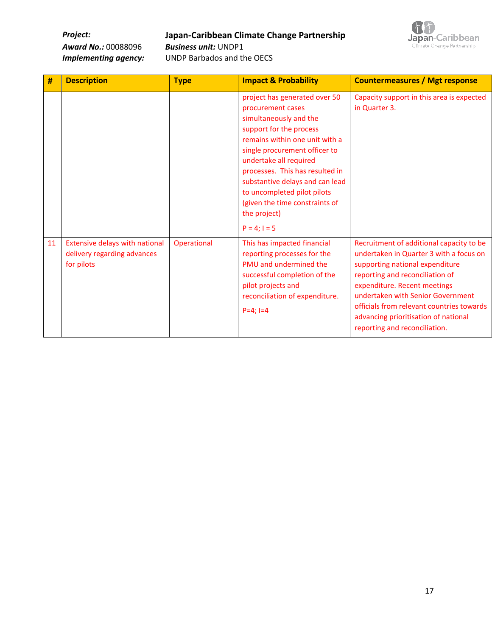**Project: Japan-Caribbean Climate Change Partnership**<br>*Award No.:* **00088096** *Business unit:* **UNDP1** 



**Award No.: 00088096** 

*Implementing agency:* UNDP Barbados and the OECS

| #  | <b>Description</b>                                                                 | <b>Type</b> | <b>Impact &amp; Probability</b>                                                                                                                                                                                                                                                                                                                                                  | <b>Countermeasures / Mgt response</b>                                                                                                                                                                                                                                                                                                                |
|----|------------------------------------------------------------------------------------|-------------|----------------------------------------------------------------------------------------------------------------------------------------------------------------------------------------------------------------------------------------------------------------------------------------------------------------------------------------------------------------------------------|------------------------------------------------------------------------------------------------------------------------------------------------------------------------------------------------------------------------------------------------------------------------------------------------------------------------------------------------------|
|    |                                                                                    |             | project has generated over 50<br>procurement cases<br>simultaneously and the<br>support for the process<br>remains within one unit with a<br>single procurement officer to<br>undertake all required<br>processes. This has resulted in<br>substantive delays and can lead<br>to uncompleted pilot pilots<br>(given the time constraints of<br>the project)<br>$P = 4$ ; $I = 5$ | Capacity support in this area is expected<br>in Quarter 3.                                                                                                                                                                                                                                                                                           |
| 11 | <b>Extensive delays with national</b><br>delivery regarding advances<br>for pilots | Operational | This has impacted financial<br>reporting processes for the<br>PMU and undermined the<br>successful completion of the<br>pilot projects and<br>reconciliation of expenditure.<br>$P=4$ : $I=4$                                                                                                                                                                                    | Recruitment of additional capacity to be<br>undertaken in Quarter 3 with a focus on<br>supporting national expenditure<br>reporting and reconciliation of<br>expenditure. Recent meetings<br>undertaken with Senior Government<br>officials from relevant countries towards<br>advancing prioritisation of national<br>reporting and reconciliation. |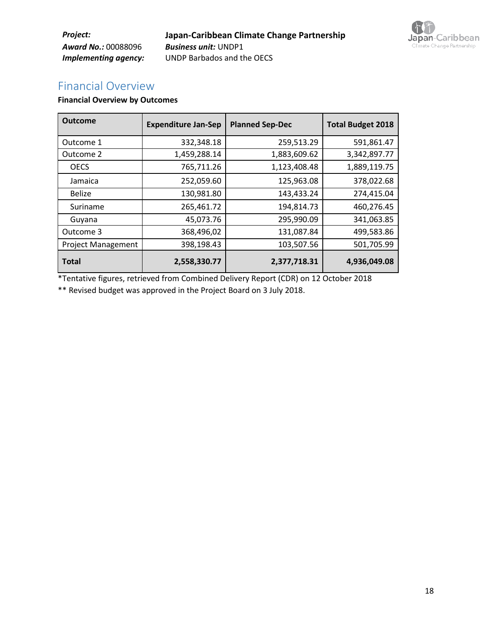*Project:* **Japan-Caribbean Climate Change Partnership** *Award No.:* 00088096 *Business unit:* UNDP1 *Implementing agency:* UNDP Barbados and the OECS



# Financial Overview

#### **Financial Overview by Outcomes**

| <b>Outcome</b>            | <b>Expenditure Jan-Sep</b> | <b>Planned Sep-Dec</b> | <b>Total Budget 2018</b> |
|---------------------------|----------------------------|------------------------|--------------------------|
| Outcome 1                 | 332,348.18                 | 259,513.29             | 591,861.47               |
| Outcome 2                 | 1,459,288.14               | 1,883,609.62           | 3,342,897.77             |
| <b>OECS</b>               | 765,711.26                 | 1,123,408.48           | 1,889,119.75             |
| Jamaica                   | 252,059.60                 | 125,963.08             | 378,022.68               |
| <b>Belize</b>             | 130,981.80                 | 143,433.24             | 274,415.04               |
| Suriname                  | 265,461.72                 | 194,814.73             | 460,276.45               |
| Guyana                    | 45,073.76                  | 295,990.09             | 341,063.85               |
| Outcome 3                 | 368,496,02                 | 131,087.84             | 499,583.86               |
| <b>Project Management</b> | 398,198.43                 | 103,507.56             | 501,705.99               |
| <b>Total</b>              | 2,558,330.77               | 2,377,718.31           | 4,936,049.08             |

\*Tentative figures, retrieved from Combined Delivery Report (CDR) on 12 October 2018

\*\* Revised budget was approved in the Project Board on 3 July 2018.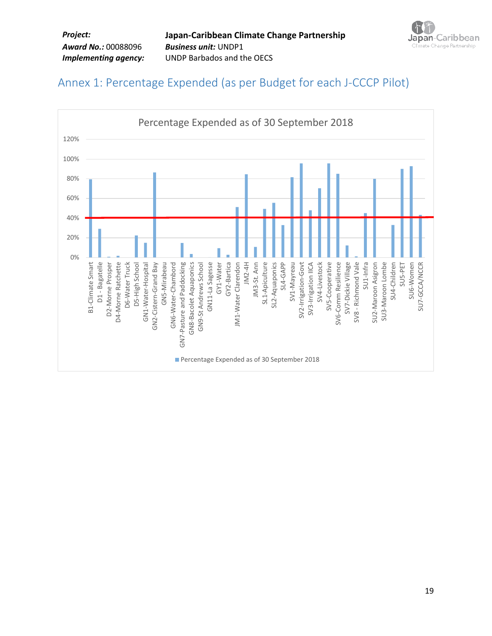

# Annex 1: Percentage Expended (as per Budget for each J-CCCP Pilot)

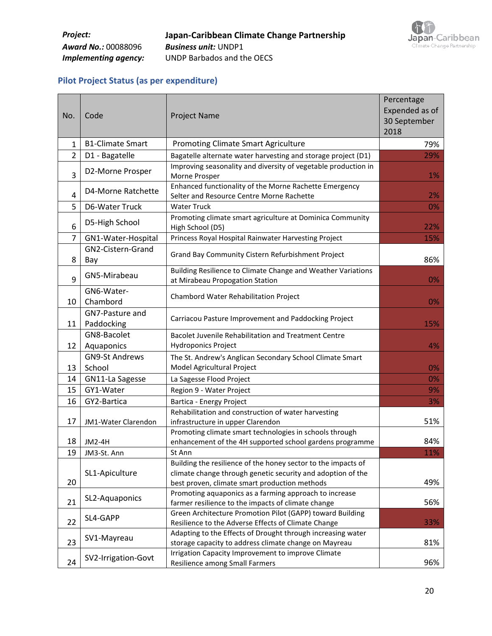

## **Pilot Project Status (as per expenditure)**

| No.            | Code                          | <b>Project Name</b>                                                                                                                                                           | Percentage<br>Expended as of<br>30 September<br>2018 |
|----------------|-------------------------------|-------------------------------------------------------------------------------------------------------------------------------------------------------------------------------|------------------------------------------------------|
| 1              | <b>B1-Climate Smart</b>       | <b>Promoting Climate Smart Agriculture</b>                                                                                                                                    | 79%                                                  |
| $\overline{2}$ | D1 - Bagatelle                | Bagatelle alternate water harvesting and storage project (D1)                                                                                                                 | 29%                                                  |
| 3              | D2-Morne Prosper              | Improving seasonality and diversity of vegetable production in<br>Morne Prosper                                                                                               | 1%                                                   |
| 4              | D4-Morne Ratchette            | Enhanced functionality of the Morne Rachette Emergency<br>Selter and Resource Centre Morne Rachette                                                                           | 2%                                                   |
| 5              | D6-Water Truck                | <b>Water Truck</b>                                                                                                                                                            | 0%                                                   |
| 6              | D5-High School                | Promoting climate smart agriculture at Dominica Community<br>High School (D5)                                                                                                 | 22%                                                  |
| $\overline{7}$ | GN1-Water-Hospital            | Princess Royal Hospital Rainwater Harvesting Project                                                                                                                          | 15%                                                  |
| 8              | GN2-Cistern-Grand<br>Bay      | Grand Bay Community Cistern Refurbishment Project                                                                                                                             | 86%                                                  |
| 9              | GN5-Mirabeau                  | Building Resilience to Climate Change and Weather Variations<br>at Mirabeau Propogation Station                                                                               | 0%                                                   |
| 10             | GN6-Water-<br>Chambord        | Chambord Water Rehabilitation Project                                                                                                                                         | 0%                                                   |
| 11             | GN7-Pasture and<br>Paddocking | Carriacou Pasture Improvement and Paddocking Project                                                                                                                          | 15%                                                  |
|                | GN8-Bacolet                   | Bacolet Juvenile Rehabilitation and Treatment Centre                                                                                                                          |                                                      |
| 12             | Aquaponics                    | Hydroponics Project                                                                                                                                                           | 4%                                                   |
|                | <b>GN9-St Andrews</b>         | The St. Andrew's Anglican Secondary School Climate Smart                                                                                                                      |                                                      |
| 13             | School                        | Model Agricultural Project                                                                                                                                                    | 0%                                                   |
| 14             | GN11-La Sagesse               | La Sagesse Flood Project                                                                                                                                                      | 0%                                                   |
| 15             | GY1-Water                     | Region 9 - Water Project                                                                                                                                                      | 9%                                                   |
| 16             | GY2-Bartica                   | Bartica - Energy Project                                                                                                                                                      | 3%                                                   |
| 17             | JM1-Water Clarendon           | Rehabilitation and construction of water harvesting<br>infrastructure in upper Clarendon                                                                                      | 51%                                                  |
| 18             | <b>JM2-4H</b>                 | Promoting climate smart technologies in schools through<br>enhancement of the 4H supported school gardens programme                                                           | 84%                                                  |
| 19             | JM3-St. Ann                   | St Ann                                                                                                                                                                        | 11%                                                  |
| 20             | SL1-Apiculture                | Building the resilience of the honey sector to the impacts of<br>climate change through genetic security and adoption of the<br>best proven, climate smart production methods | 49%                                                  |
| 21             | SL2-Aquaponics                | Promoting aquaponics as a farming approach to increase<br>farmer resilience to the impacts of climate change                                                                  | 56%                                                  |
| 22             | SL4-GAPP                      | Green Architecture Promotion Pilot (GAPP) toward Building<br>Resilience to the Adverse Effects of Climate Change                                                              | 33%                                                  |
| 23             | SV1-Mayreau                   | Adapting to the Effects of Drought through increasing water<br>storage capacity to address climate change on Mayreau                                                          | 81%                                                  |
| 24             | SV2-Irrigation-Govt           | Irrigation Capacity Improvement to improve Climate<br>Resilience among Small Farmers                                                                                          | 96%                                                  |